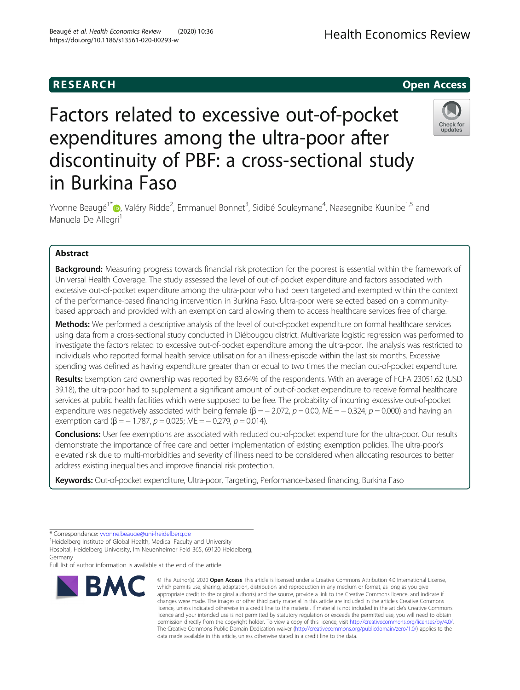# **RESEARCH CHEAR CHEAR CHEAR CHEAR CHEAR CHEAR CHEAR CHEAR CHEAR CHEAR CHEAR CHEAR CHEAR CHEAR CHEAR CHEAR CHEAR**

# Factors related to excessive out-of-pocket expenditures among the ultra-poor after discontinuity of PBF: a cross-sectional study in Burkina Faso



Yvonne Beaugé<sup>1[\\*](http://orcid.org/0000-0002-9658-2417)</sup>®, Valéry Ridde<sup>2</sup>, Emmanuel Bonnet<sup>3</sup>, Sidibé Souleymane<sup>4</sup>, Naasegnibe Kuunibe<sup>1,5</sup> and Manuela De Allegri<sup>1</sup>

## Abstract

**Background:** Measuring progress towards financial risk protection for the poorest is essential within the framework of Universal Health Coverage. The study assessed the level of out-of-pocket expenditure and factors associated with excessive out-of-pocket expenditure among the ultra-poor who had been targeted and exempted within the context of the performance-based financing intervention in Burkina Faso. Ultra-poor were selected based on a communitybased approach and provided with an exemption card allowing them to access healthcare services free of charge.

Methods: We performed a descriptive analysis of the level of out-of-pocket expenditure on formal healthcare services using data from a cross-sectional study conducted in Diébougou district. Multivariate logistic regression was performed to investigate the factors related to excessive out-of-pocket expenditure among the ultra-poor. The analysis was restricted to individuals who reported formal health service utilisation for an illness-episode within the last six months. Excessive spending was defined as having expenditure greater than or equal to two times the median out-of-pocket expenditure.

Results: Exemption card ownership was reported by 83.64% of the respondents. With an average of FCFA 23051.62 (USD 39.18), the ultra-poor had to supplement a significant amount of out-of-pocket expenditure to receive formal healthcare services at public health facilities which were supposed to be free. The probability of incurring excessive out-of-pocket expenditure was negatively associated with being female ( $\beta = -2.072$ ,  $p = 0.00$ , ME =  $-0.324$ ;  $p = 0.000$ ) and having an exemption card ( $\beta = -1.787$ ,  $p = 0.025$ ; ME =  $-0.279$ ,  $p = 0.014$ ).

Conclusions: User fee exemptions are associated with reduced out-of-pocket expenditure for the ultra-poor. Our results demonstrate the importance of free care and better implementation of existing exemption policies. The ultra-poor's elevated risk due to multi-morbidities and severity of illness need to be considered when allocating resources to better address existing inequalities and improve financial risk protection.

Keywords: Out-of-pocket expenditure, Ultra-poor, Targeting, Performance-based financing, Burkina Faso

Full list of author information is available at the end of the article



<sup>©</sup> The Author(s), 2020 **Open Access** This article is licensed under a Creative Commons Attribution 4.0 International License, which permits use, sharing, adaptation, distribution and reproduction in any medium or format, as long as you give appropriate credit to the original author(s) and the source, provide a link to the Creative Commons licence, and indicate if changes were made. The images or other third party material in this article are included in the article's Creative Commons licence, unless indicated otherwise in a credit line to the material. If material is not included in the article's Creative Commons licence and your intended use is not permitted by statutory regulation or exceeds the permitted use, you will need to obtain permission directly from the copyright holder. To view a copy of this licence, visit [http://creativecommons.org/licenses/by/4.0/.](http://creativecommons.org/licenses/by/4.0/) The Creative Commons Public Domain Dedication waiver [\(http://creativecommons.org/publicdomain/zero/1.0/](http://creativecommons.org/publicdomain/zero/1.0/)) applies to the data made available in this article, unless otherwise stated in a credit line to the data.

<sup>\*</sup> Correspondence: [yvonne.beauge@uni-heidelberg.de](mailto:yvonne.beauge@uni-heidelberg.de) <sup>1</sup>

<sup>&</sup>lt;sup>1</sup>Heidelberg Institute of Global Health, Medical Faculty and University

Hospital, Heidelberg University, Im Neuenheimer Feld 365, 69120 Heidelberg, Germany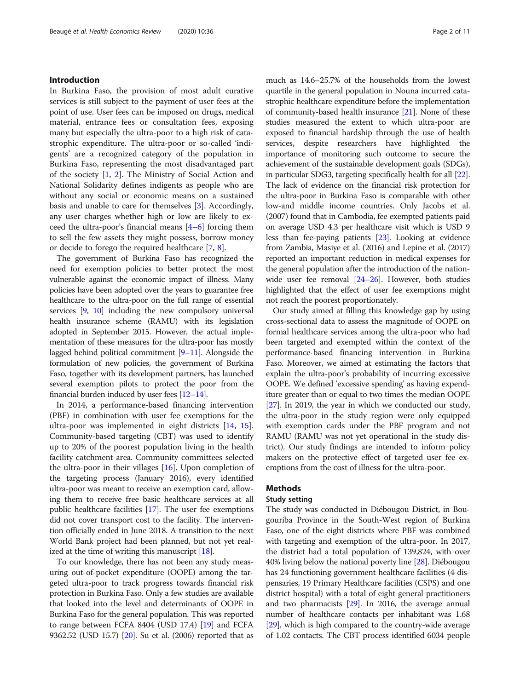#### Introduction

In Burkina Faso, the provision of most adult curative services is still subject to the payment of user fees at the point of use. User fees can be imposed on drugs, medical material, entrance fees or consultation fees, exposing many but especially the ultra-poor to a high risk of catastrophic expenditure. The ultra-poor or so-called 'indigents' are a recognized category of the population in Burkina Faso, representing the most disadvantaged part of the society [\[1](#page-9-0), [2](#page-9-0)]. The Ministry of Social Action and National Solidarity defines indigents as people who are without any social or economic means on a sustained basis and unable to care for themselves [[3](#page-9-0)]. Accordingly, any user charges whether high or low are likely to exceed the ultra-poor's financial means [\[4](#page-9-0)–[6](#page-9-0)] forcing them to sell the few assets they might possess, borrow money or decide to forego the required healthcare [[7,](#page-9-0) [8\]](#page-9-0).

The government of Burkina Faso has recognized the need for exemption policies to better protect the most vulnerable against the economic impact of illness. Many policies have been adopted over the years to guarantee free healthcare to the ultra-poor on the full range of essential services [\[9,](#page-9-0) [10](#page-9-0)] including the new compulsory universal health insurance scheme (RAMU) with its legislation adopted in September 2015. However, the actual implementation of these measures for the ultra-poor has mostly lagged behind political commitment [\[9](#page-9-0)–[11](#page-9-0)]. Alongside the formulation of new policies, the government of Burkina Faso, together with its development partners, has launched several exemption pilots to protect the poor from the financial burden induced by user fees [\[12](#page-9-0)–[14](#page-9-0)].

In 2014, a performance-based financing intervention (PBF) in combination with user fee exemptions for the ultra-poor was implemented in eight districts [[14,](#page-9-0) [15](#page-9-0)]. Community-based targeting (CBT) was used to identify up to 20% of the poorest population living in the health facility catchment area. Community committees selected the ultra-poor in their villages [\[16\]](#page-9-0). Upon completion of the targeting process (January 2016), every identified ultra-poor was meant to receive an exemption card, allowing them to receive free basic healthcare services at all public healthcare facilities [[17](#page-9-0)]. The user fee exemptions did not cover transport cost to the facility. The intervention officially ended in June 2018. A transition to the next World Bank project had been planned, but not yet realized at the time of writing this manuscript [[18](#page-9-0)].

To our knowledge, there has not been any study measuring out-of-pocket expenditure (OOPE) among the targeted ultra-poor to track progress towards financial risk protection in Burkina Faso. Only a few studies are available that looked into the level and determinants of OOPE in Burkina Faso for the general population. This was reported to range between FCFA 8404 (USD 17.4) [\[19](#page-9-0)] and FCFA 9362.52 (USD 15.7) [\[20](#page-9-0)]. Su et al. (2006) reported that as

much as 14.6–25.7% of the households from the lowest quartile in the general population in Nouna incurred catastrophic healthcare expenditure before the implementation of community-based health insurance [\[21\]](#page-9-0). None of these studies measured the extent to which ultra-poor are exposed to financial hardship through the use of health services, despite researchers have highlighted the importance of monitoring such outcome to secure the achievement of the sustainable development goals (SDGs), in particular SDG3, targeting specifically health for all [[22](#page-9-0)]. The lack of evidence on the financial risk protection for the ultra-poor in Burkina Faso is comparable with other low-and middle income countries. Only Jacobs et al. (2007) found that in Cambodia, fee exempted patients paid on average USD 4.3 per healthcare visit which is USD 9 less than fee-paying patients [\[23\]](#page-9-0). Looking at evidence from Zambia, Masiye et al. (2016) and Lepine et al. (2017) reported an important reduction in medical expenses for the general population after the introduction of the nationwide user fee removal  $[24-26]$  $[24-26]$  $[24-26]$  $[24-26]$ . However, both studies highlighted that the effect of user fee exemptions might not reach the poorest proportionately.

Our study aimed at filling this knowledge gap by using cross-sectional data to assess the magnitude of OOPE on formal healthcare services among the ultra-poor who had been targeted and exempted within the context of the performance-based financing intervention in Burkina Faso. Moreover, we aimed at estimating the factors that explain the ultra-poor's probability of incurring excessive OOPE. We defined 'excessive spending' as having expenditure greater than or equal to two times the median OOPE [[27](#page-10-0)]. In 2019, the year in which we conducted our study, the ultra-poor in the study region were only equipped with exemption cards under the PBF program and not RAMU (RAMU was not yet operational in the study district). Our study findings are intended to inform policy makers on the protective effect of targeted user fee exemptions from the cost of illness for the ultra-poor.

#### Methods

#### Study setting

The study was conducted in Diébougou District, in Bougouriba Province in the South-West region of Burkina Faso, one of the eight districts where PBF was combined with targeting and exemption of the ultra-poor. In 2017, the district had a total population of 139,824, with over 40% living below the national poverty line [\[28\]](#page-10-0). Diébougou has 24 functioning government healthcare facilities (4 dispensaries, 19 Primary Healthcare facilities (CSPS) and one district hospital) with a total of eight general practitioners and two pharmacists [\[29\]](#page-10-0). In 2016, the average annual number of healthcare contacts per inhabitant was 1.68 [[29](#page-10-0)], which is high compared to the country-wide average of 1.02 contacts. The CBT process identified 6034 people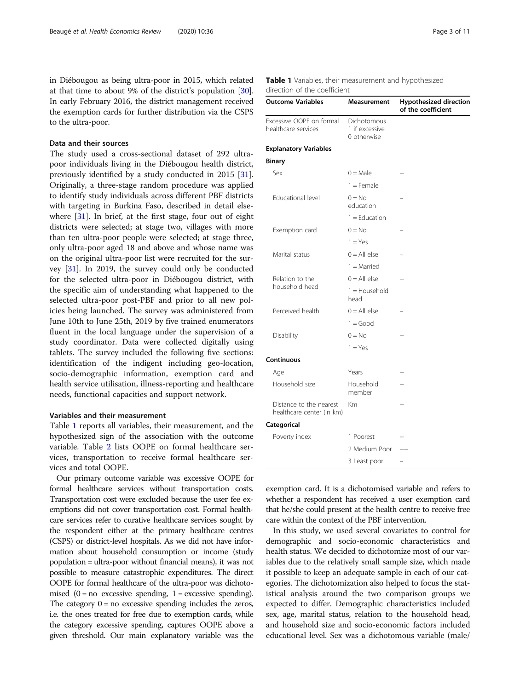<span id="page-2-0"></span>in Diébougou as being ultra-poor in 2015, which related at that time to about 9% of the district's population [[30](#page-10-0)]. In early February 2016, the district management received the exemption cards for further distribution via the CSPS to the ultra-poor.

#### Data and their sources

The study used a cross-sectional dataset of 292 ultrapoor individuals living in the Diébougou health district, previously identified by a study conducted in 2015 [\[31](#page-10-0)]. Originally, a three-stage random procedure was applied to identify study individuals across different PBF districts with targeting in Burkina Faso, described in detail elsewhere [\[31](#page-10-0)]. In brief, at the first stage, four out of eight districts were selected; at stage two, villages with more than ten ultra-poor people were selected; at stage three, only ultra-poor aged 18 and above and whose name was on the original ultra-poor list were recruited for the survey [[31](#page-10-0)]. In 2019, the survey could only be conducted for the selected ultra-poor in Diébougou district, with the specific aim of understanding what happened to the selected ultra-poor post-PBF and prior to all new policies being launched. The survey was administered from June 10th to June 25th, 2019 by five trained enumerators fluent in the local language under the supervision of a study coordinator. Data were collected digitally using tablets. The survey included the following five sections: identification of the indigent including geo-location, socio-demographic information, exemption card and health service utilisation, illness-reporting and healthcare needs, functional capacities and support network.

#### Variables and their measurement

Table 1 reports all variables, their measurement, and the hypothesized sign of the association with the outcome variable. Table [2](#page-3-0) lists OOPE on formal healthcare services, transportation to receive formal healthcare services and total OOPE.

Our primary outcome variable was excessive OOPE for formal healthcare services without transportation costs. Transportation cost were excluded because the user fee exemptions did not cover transportation cost. Formal healthcare services refer to curative healthcare services sought by the respondent either at the primary healthcare centres (CSPS) or district-level hospitals. As we did not have information about household consumption or income (study population = ultra-poor without financial means), it was not possible to measure catastrophic expenditures. The direct OOPE for formal healthcare of the ultra-poor was dichotomised  $(0 = no$  excessive spending,  $1 =$  excessive spending). The category  $0 = no$  excessive spending includes the zeros, i.e. the ones treated for free due to exemption cards, while the category excessive spending, captures OOPE above a given threshold. Our main explanatory variable was the

|                              | Table 1 Variables, their measurement and hypothesized |  |  |
|------------------------------|-------------------------------------------------------|--|--|
| direction of the coefficient |                                                       |  |  |

| <b>Outcome Variables</b>                             | Measurement                                  | <b>Hypothesized direction</b><br>of the coefficient |  |  |
|------------------------------------------------------|----------------------------------------------|-----------------------------------------------------|--|--|
| Excessive OOPE on formal<br>healthcare services      | Dichotomous<br>1 if excessive<br>0 otherwise |                                                     |  |  |
| <b>Explanatory Variables</b>                         |                                              |                                                     |  |  |
| <b>Binary</b>                                        |                                              |                                                     |  |  |
| Sex                                                  | $0 = Male$                                   | $^{+}$                                              |  |  |
|                                                      | $1 =$ Female                                 |                                                     |  |  |
| <b>Educational level</b>                             | $0 = No$<br>education                        |                                                     |  |  |
|                                                      | $1 =$ Fducation                              |                                                     |  |  |
| Exemption card                                       | $0 = No$                                     |                                                     |  |  |
|                                                      | $1 = Yes$                                    |                                                     |  |  |
| Marital status                                       | $0 = All else$                               |                                                     |  |  |
|                                                      | $1 =$ Married                                |                                                     |  |  |
| Relation to the                                      | $0 = All$ else                               | $^{+}$                                              |  |  |
| household head                                       | $1 =$ Household<br>head                      |                                                     |  |  |
| Perceived health                                     | $0 = All else$                               |                                                     |  |  |
|                                                      | $1 = Good$                                   |                                                     |  |  |
| Disability                                           | $0 = No$                                     | $^{+}$                                              |  |  |
|                                                      | $1 = Yes$                                    |                                                     |  |  |
| Continuous                                           |                                              |                                                     |  |  |
| Age                                                  | Years                                        | $^{+}$                                              |  |  |
| Household size                                       | Household<br>member                          | $+$                                                 |  |  |
| Distance to the nearest<br>healthcare center (in km) | Km                                           | $+$                                                 |  |  |
| Categorical                                          |                                              |                                                     |  |  |
| Poverty index                                        | 1 Poorest                                    | $+$                                                 |  |  |
|                                                      | 2 Medium Poor                                | $+-$                                                |  |  |
|                                                      | 3 Least poor                                 |                                                     |  |  |

exemption card. It is a dichotomised variable and refers to whether a respondent has received a user exemption card that he/she could present at the health centre to receive free care within the context of the PBF intervention.

In this study, we used several covariates to control for demographic and socio-economic characteristics and health status. We decided to dichotomize most of our variables due to the relatively small sample size, which made it possible to keep an adequate sample in each of our categories. The dichotomization also helped to focus the statistical analysis around the two comparison groups we expected to differ. Demographic characteristics included sex, age, marital status, relation to the household head, and household size and socio-economic factors included educational level. Sex was a dichotomous variable (male/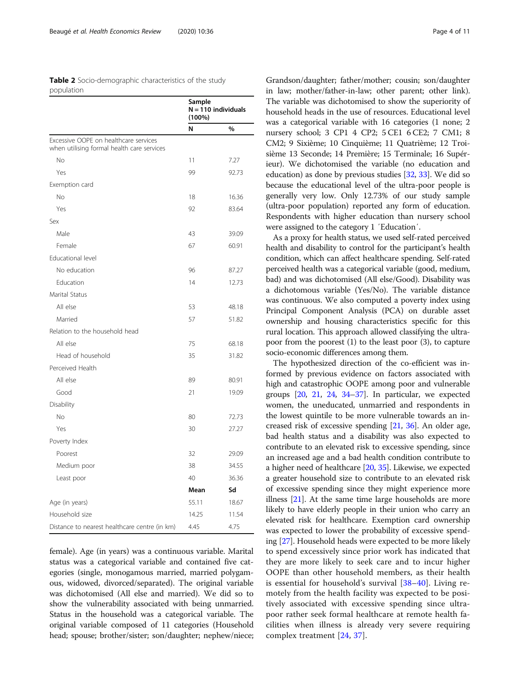<span id="page-3-0"></span>

| <b>Table 2</b> Socio-demographic characteristics of the study |  |  |  |  |
|---------------------------------------------------------------|--|--|--|--|
| population                                                    |  |  |  |  |

|                                                                                     | Sample<br>$N = 110$ individuals<br>$(100\%)$ |       |
|-------------------------------------------------------------------------------------|----------------------------------------------|-------|
|                                                                                     | N                                            | $\%$  |
| Excessive OOPE on healthcare services<br>when utilising formal health care services |                                              |       |
| No                                                                                  | 11                                           | 7.27  |
| Yes                                                                                 | 99                                           | 92.73 |
| Exemption card                                                                      |                                              |       |
| No                                                                                  | 18                                           | 16.36 |
| Yes                                                                                 | 92                                           | 83.64 |
| Sex                                                                                 |                                              |       |
| Male                                                                                | 43                                           | 39.09 |
| Female                                                                              | 67                                           | 60.91 |
| Educational level                                                                   |                                              |       |
| No education                                                                        | 96                                           | 87.27 |
| Education                                                                           | 14                                           | 12.73 |
| Marital Status                                                                      |                                              |       |
| All else                                                                            | 53                                           | 48.18 |
| Married                                                                             | 57                                           | 51.82 |
| Relation to the household head                                                      |                                              |       |
| All else                                                                            | 75                                           | 68.18 |
| Head of household                                                                   | 35                                           | 31.82 |
| Perceived Health                                                                    |                                              |       |
| All else                                                                            | 89                                           | 80.91 |
| Good                                                                                | 21                                           | 19.09 |
| Disability                                                                          |                                              |       |
| No                                                                                  | 80                                           | 72.73 |
| Yes                                                                                 | 30                                           | 27.27 |
| Poverty Index                                                                       |                                              |       |
| Poorest                                                                             | 32                                           | 29.09 |
| Medium poor                                                                         | 38                                           | 34.55 |
| Least poor                                                                          | 40                                           | 36.36 |
|                                                                                     | Mean                                         | Sd    |
| Age (in years)                                                                      | 55.11                                        | 18.67 |
| Household size                                                                      | 14.25                                        | 11.54 |
| Distance to nearest healthcare centre (in km)                                       | 4.45                                         | 4.75  |

female). Age (in years) was a continuous variable. Marital status was a categorical variable and contained five categories (single, monogamous married, married polygamous, widowed, divorced/separated). The original variable was dichotomised (All else and married). We did so to show the vulnerability associated with being unmarried. Status in the household was a categorical variable. The original variable composed of 11 categories (Household head; spouse; brother/sister; son/daughter; nephew/niece;

Grandson/daughter; father/mother; cousin; son/daughter in law; mother/father-in-law; other parent; other link). The variable was dichotomised to show the superiority of household heads in the use of resources. Educational level was a categorical variable with 16 categories (1 none; 2 nursery school; 3 CP1 4 CP2; 5 CE1 6 CE2; 7 CM1; 8 CM2; 9 Sixième; 10 Cinquième; 11 Quatrième; 12 Troisième 13 Seconde; 14 Première; 15 Terminale; 16 Supérieur). We dichotomised the variable (no education and education) as done by previous studies [\[32,](#page-10-0) [33](#page-10-0)]. We did so because the educational level of the ultra-poor people is generally very low. Only 12.73% of our study sample (ultra-poor population) reported any form of education. Respondents with higher education than nursery school were assigned to the category 1 ′Education′.

As a proxy for health status, we used self-rated perceived health and disability to control for the participant's health condition, which can affect healthcare spending. Self-rated perceived health was a categorical variable (good, medium, bad) and was dichotomised (All else/Good). Disability was a dichotomous variable (Yes/No). The variable distance was continuous. We also computed a poverty index using Principal Component Analysis (PCA) on durable asset ownership and housing characteristics specific for this rural location. This approach allowed classifying the ultrapoor from the poorest (1) to the least poor (3), to capture socio-economic differences among them.

The hypothesized direction of the co-efficient was informed by previous evidence on factors associated with high and catastrophic OOPE among poor and vulnerable groups [\[20](#page-9-0), [21](#page-9-0), [24](#page-10-0), [34](#page-10-0)–[37\]](#page-10-0). In particular, we expected women, the uneducated, unmarried and respondents in the lowest quintile to be more vulnerable towards an increased risk of excessive spending [[21](#page-9-0), [36\]](#page-10-0). An older age, bad health status and a disability was also expected to contribute to an elevated risk to excessive spending, since an increased age and a bad health condition contribute to a higher need of healthcare [[20](#page-9-0), [35\]](#page-10-0). Likewise, we expected a greater household size to contribute to an elevated risk of excessive spending since they might experience more illness [\[21\]](#page-9-0). At the same time large households are more likely to have elderly people in their union who carry an elevated risk for healthcare. Exemption card ownership was expected to lower the probability of excessive spending [[27\]](#page-10-0). Household heads were expected to be more likely to spend excessively since prior work has indicated that they are more likely to seek care and to incur higher OOPE than other household members, as their health is essential for household's survival [[38](#page-10-0)–[40\]](#page-10-0). Living remotely from the health facility was expected to be positively associated with excessive spending since ultrapoor rather seek formal healthcare at remote health facilities when illness is already very severe requiring complex treatment [[24,](#page-10-0) [37](#page-10-0)].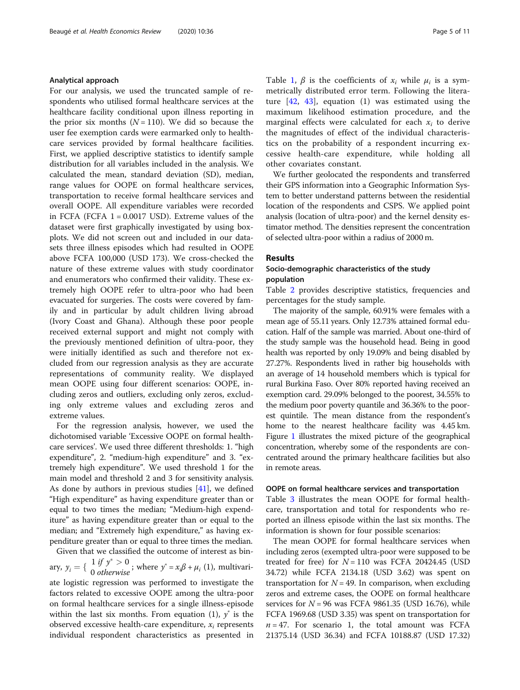#### Analytical approach

For our analysis, we used the truncated sample of respondents who utilised formal healthcare services at the healthcare facility conditional upon illness reporting in the prior six months  $(N = 110)$ . We did so because the user fee exemption cards were earmarked only to healthcare services provided by formal healthcare facilities. First, we applied descriptive statistics to identify sample distribution for all variables included in the analysis. We calculated the mean, standard deviation (SD), median, range values for OOPE on formal healthcare services, transportation to receive formal healthcare services and overall OOPE. All expenditure variables were recorded in FCFA (FCFA  $1 = 0.0017$  USD). Extreme values of the dataset were first graphically investigated by using boxplots. We did not screen out and included in our datasets three illness episodes which had resulted in OOPE above FCFA 100,000 (USD 173). We cross-checked the nature of these extreme values with study coordinator and enumerators who confirmed their validity. These extremely high OOPE refer to ultra-poor who had been evacuated for surgeries. The costs were covered by family and in particular by adult children living abroad (Ivory Coast and Ghana). Although these poor people received external support and might not comply with the previously mentioned definition of ultra-poor, they were initially identified as such and therefore not excluded from our regression analysis as they are accurate representations of community reality. We displayed mean OOPE using four different scenarios: OOPE, including zeros and outliers, excluding only zeros, excluding only extreme values and excluding zeros and extreme values.

For the regression analysis, however, we used the dichotomised variable 'Excessive OOPE on formal healthcare services'. We used three different thresholds: 1. "high expenditure", 2. "medium-high expenditure" and 3. "extremely high expenditure". We used threshold 1 for the main model and threshold 2 and 3 for sensitivity analysis. As done by authors in previous studies [\[41\]](#page-10-0), we defined "High expenditure" as having expenditure greater than or equal to two times the median; "Medium-high expenditure" as having expenditure greater than or equal to the median; and "Extremely high expenditure," as having expenditure greater than or equal to three times the median. Given that we classified the outcome of interest as bin-

ary,  $y_i = \left\{ \begin{array}{l} 1 \text{ if } y^* > 0 \\ 0 \text{ otherwise} \end{array} \right.$ ; where  $y^* = x_i \beta + \mu_i$  (1), multivari-

ate logistic regression was performed to investigate the factors related to excessive OOPE among the ultra-poor on formal healthcare services for a single illness-episode within the last six months. From equation (1),  $y^*$  is the observed excessive health-care expenditure,  $x_i$  represents individual respondent characteristics as presented in Table [1,](#page-2-0)  $\beta$  is the coefficients of  $x_i$  while  $\mu_i$  is a symmetrically distributed error term. Following the literature  $[42, 43]$  $[42, 43]$  $[42, 43]$  $[42, 43]$ , equation  $(1)$  was estimated using the maximum likelihood estimation procedure, and the marginal effects were calculated for each  $x_i$  to derive the magnitudes of effect of the individual characteristics on the probability of a respondent incurring excessive health-care expenditure, while holding all other covariates constant.

We further geolocated the respondents and transferred their GPS information into a Geographic Information System to better understand patterns between the residential location of the respondents and CSPS. We applied point analysis (location of ultra-poor) and the kernel density estimator method. The densities represent the concentration of selected ultra-poor within a radius of 2000 m.

#### Results

#### Socio-demographic characteristics of the study population

Table [2](#page-3-0) provides descriptive statistics, frequencies and percentages for the study sample.

The majority of the sample, 60.91% were females with a mean age of 55.11 years. Only 12.73% attained formal education. Half of the sample was married. About one-third of the study sample was the household head. Being in good health was reported by only 19.09% and being disabled by 27.27%. Respondents lived in rather big households with an average of 14 household members which is typical for rural Burkina Faso. Over 80% reported having received an exemption card. 29.09% belonged to the poorest, 34.55% to the medium poor poverty quantile and 36.36% to the poorest quintile. The mean distance from the respondent's home to the nearest healthcare facility was 4.45 km. Figure [1](#page-5-0) illustrates the mixed picture of the geographical concentration, whereby some of the respondents are concentrated around the primary healthcare facilities but also in remote areas.

#### OOPE on formal healthcare services and transportation

Table [3](#page-5-0) illustrates the mean OOPE for formal healthcare, transportation and total for respondents who reported an illness episode within the last six months. The information is shown for four possible scenarios:

The mean OOPE for formal healthcare services when including zeros (exempted ultra-poor were supposed to be treated for free) for  $N = 110$  was FCFA 20424.45 (USD 34.72) while FCFA 2134.18 (USD 3.62) was spent on transportation for  $N = 49$ . In comparison, when excluding zeros and extreme cases, the OOPE on formal healthcare services for  $N = 96$  was FCFA 9861.35 (USD 16.76), while FCFA 1969.68 (USD 3.35) was spent on transportation for  $n = 47$ . For scenario 1, the total amount was FCFA 21375.14 (USD 36.34) and FCFA 10188.87 (USD 17.32)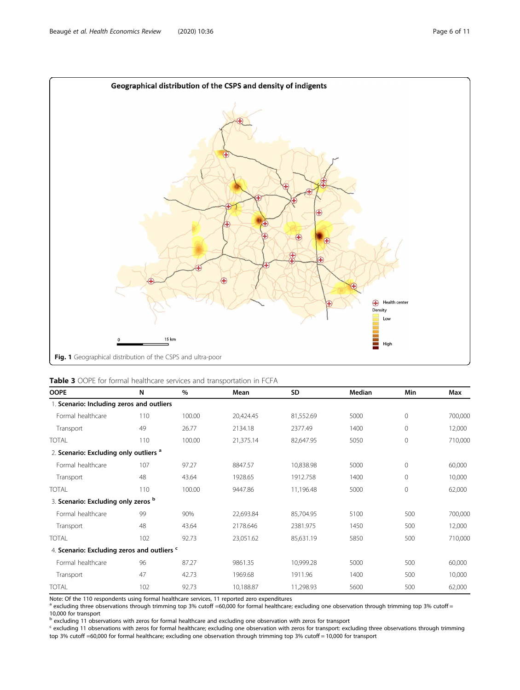<span id="page-5-0"></span>

|  |  | Table 3 OOPE for formal healthcare services and transportation in FCFA |
|--|--|------------------------------------------------------------------------|
|--|--|------------------------------------------------------------------------|

| <b>OOPE</b>                                            | N   | $\%$   | Mean      | SD        | Median | Min          | Max     |
|--------------------------------------------------------|-----|--------|-----------|-----------|--------|--------------|---------|
| 1. Scenario: Including zeros and outliers              |     |        |           |           |        |              |         |
| Formal healthcare                                      | 110 | 100.00 | 20,424.45 | 81,552.69 | 5000   | $\mathbf{0}$ | 700,000 |
| Transport                                              | 49  | 26.77  | 2134.18   | 2377.49   | 1400   | 0            | 12,000  |
| TOTAL                                                  | 110 | 100.00 | 21,375.14 | 82,647.95 | 5050   | $\mathbf 0$  | 710,000 |
| 2. Scenario: Excluding only outliers <sup>a</sup>      |     |        |           |           |        |              |         |
| Formal healthcare                                      | 107 | 97.27  | 8847.57   | 10,838.98 | 5000   | $\mathbf 0$  | 60,000  |
| Transport                                              | 48  | 43.64  | 1928.65   | 1912.758  | 1400   | $\mathbf{0}$ | 10,000  |
| TOTAL                                                  | 110 | 100.00 | 9447.86   | 11,196.48 | 5000   | 0            | 62,000  |
| 3. Scenario: Excluding only zeros b                    |     |        |           |           |        |              |         |
| Formal healthcare                                      | 99  | 90%    | 22,693.84 | 85,704.95 | 5100   | 500          | 700,000 |
| Transport                                              | 48  | 43.64  | 2178.646  | 2381.975  | 1450   | 500          | 12,000  |
| TOTAL                                                  | 102 | 92.73  | 23,051.62 | 85,631.19 | 5850   | 500          | 710,000 |
| 4. Scenario: Excluding zeros and outliers <sup>c</sup> |     |        |           |           |        |              |         |
| Formal healthcare                                      | 96  | 87.27  | 9861.35   | 10,999.28 | 5000   | 500          | 60,000  |
| Transport                                              | 47  | 42.73  | 1969.68   | 1911.96   | 1400   | 500          | 10,000  |
| <b>TOTAL</b>                                           | 102 | 92.73  | 10,188.87 | 11,298.93 | 5600   | 500          | 62,000  |

Note: Of the 110 respondents using formal healthcare services, 11 reported zero expenditures<br><sup>a</sup> excluding three observations through trimming top 3% cutoff =60,000 for formal healthcare; excluding one observation through 10,000 for transport

<sup>b</sup> excluding 11 observations with zeros for formal healthcare and excluding one observation with zeros for transport

<sup>c</sup> excluding 11 observations with zeros for formal healthcare; excluding one observation with zeros for transport: excluding three observations through trimming top 3% cutoff =60,000 for formal healthcare; excluding one observation through trimming top 3% cutoff = 10,000 for transport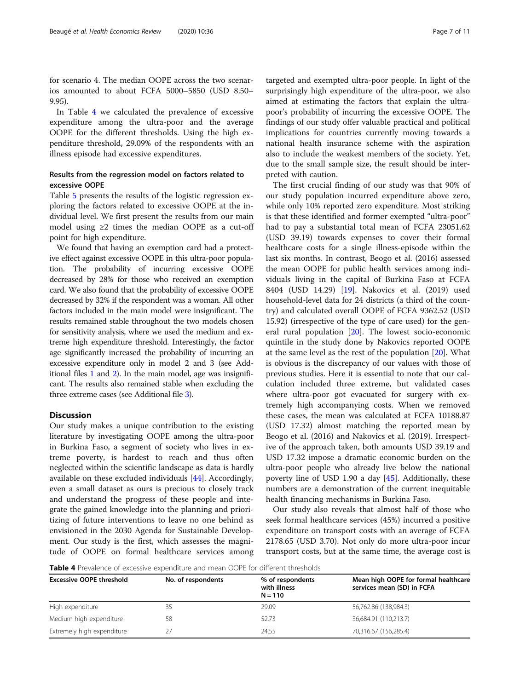for scenario 4. The median OOPE across the two scenarios amounted to about FCFA 5000–5850 (USD 8.50– 9.95).

In Table 4 we calculated the prevalence of excessive expenditure among the ultra-poor and the average OOPE for the different thresholds. Using the high expenditure threshold, 29.09% of the respondents with an illness episode had excessive expenditures.

#### Results from the regression model on factors related to excessive OOPE

Table [5](#page-7-0) presents the results of the logistic regression exploring the factors related to excessive OOPE at the individual level. We first present the results from our main model using ≥2 times the median OOPE as a cut-off point for high expenditure.

We found that having an exemption card had a protective effect against excessive OOPE in this ultra-poor population. The probability of incurring excessive OOPE decreased by 28% for those who received an exemption card. We also found that the probability of excessive OOPE decreased by 32% if the respondent was a woman. All other factors included in the main model were insignificant. The results remained stable throughout the two models chosen for sensitivity analysis, where we used the medium and extreme high expenditure threshold. Interestingly, the factor age significantly increased the probability of incurring an excessive expenditure only in model 2 and 3 (see Additional files [1](#page-8-0) and [2\)](#page-8-0). In the main model, age was insignificant. The results also remained stable when excluding the three extreme cases (see Additional file [3\)](#page-8-0).

#### **Discussion**

Our study makes a unique contribution to the existing literature by investigating OOPE among the ultra-poor in Burkina Faso, a segment of society who lives in extreme poverty, is hardest to reach and thus often neglected within the scientific landscape as data is hardly available on these excluded individuals [\[44\]](#page-10-0). Accordingly, even a small dataset as ours is precious to closely track and understand the progress of these people and integrate the gained knowledge into the planning and prioritizing of future interventions to leave no one behind as envisioned in the 2030 Agenda for Sustainable Development. Our study is the first, which assesses the magnitude of OOPE on formal healthcare services among

targeted and exempted ultra-poor people. In light of the surprisingly high expenditure of the ultra-poor, we also aimed at estimating the factors that explain the ultrapoor's probability of incurring the excessive OOPE. The findings of our study offer valuable practical and political implications for countries currently moving towards a national health insurance scheme with the aspiration also to include the weakest members of the society. Yet, due to the small sample size, the result should be interpreted with caution.

The first crucial finding of our study was that 90% of our study population incurred expenditure above zero, while only 10% reported zero expenditure. Most striking is that these identified and former exempted "ultra-poor" had to pay a substantial total mean of FCFA 23051.62 (USD 39.19) towards expenses to cover their formal healthcare costs for a single illness-episode within the last six months. In contrast, Beogo et al. (2016) assessed the mean OOPE for public health services among individuals living in the capital of Burkina Faso at FCFA 8404 (USD 14.29) [[19\]](#page-9-0). Nakovics et al. (2019) used household-level data for 24 districts (a third of the country) and calculated overall OOPE of FCFA 9362.52 (USD 15.92) (irrespective of the type of care used) for the general rural population [[20\]](#page-9-0). The lowest socio-economic quintile in the study done by Nakovics reported OOPE at the same level as the rest of the population [[20\]](#page-9-0). What is obvious is the discrepancy of our values with those of previous studies. Here it is essential to note that our calculation included three extreme, but validated cases where ultra-poor got evacuated for surgery with extremely high accompanying costs. When we removed these cases, the mean was calculated at FCFA 10188.87 (USD 17.32) almost matching the reported mean by Beogo et al. (2016) and Nakovics et al. (2019). Irrespective of the approach taken, both amounts USD 39.19 and USD 17.32 impose a dramatic economic burden on the ultra-poor people who already live below the national poverty line of USD 1.90 a day [\[45](#page-10-0)]. Additionally, these numbers are a demonstration of the current inequitable health financing mechanisms in Burkina Faso.

Our study also reveals that almost half of those who seek formal healthcare services (45%) incurred a positive expenditure on transport costs with an average of FCFA 2178.65 (USD 3.70). Not only do more ultra-poor incur transport costs, but at the same time, the average cost is

Table 4 Prevalence of excessive expenditure and mean OOPE for different thresholds

| <b>Excessive OOPE threshold</b> | No. of respondents | % of respondents<br>with illness<br>$N = 110$ | Mean high OOPE for formal healthcare<br>services mean (SD) in FCFA |  |  |
|---------------------------------|--------------------|-----------------------------------------------|--------------------------------------------------------------------|--|--|
| High expenditure                | 35                 | 29.09                                         | 56,762.86 (138,984.3)                                              |  |  |
| Medium high expenditure         | 58                 | 52.73                                         | 36,684.91 (110,213.7)                                              |  |  |
| Extremely high expenditure      |                    | 24.55                                         | 70,316.67 (156,285.4)                                              |  |  |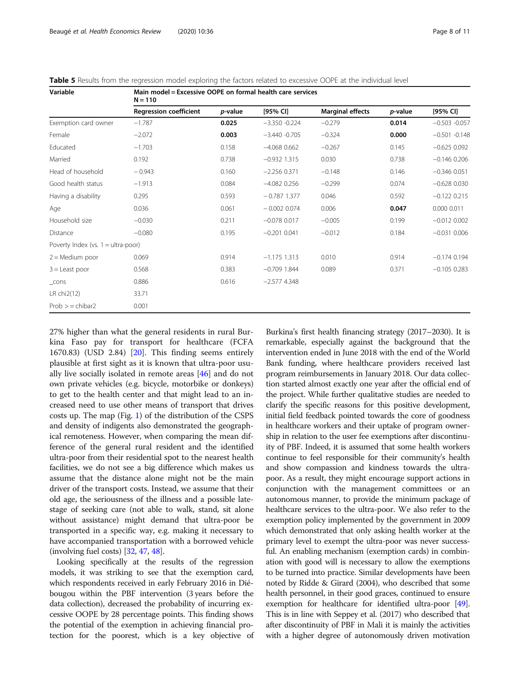<span id="page-7-0"></span>

|  |  | <b>Table 5</b> Results from the regression model exploring the factors related to excessive OOPE at the individual level |  |  |  |  |  |  |  |
|--|--|--------------------------------------------------------------------------------------------------------------------------|--|--|--|--|--|--|--|
|--|--|--------------------------------------------------------------------------------------------------------------------------|--|--|--|--|--|--|--|

| Variable                             | Main model = Excessive OOPE on formal health care services<br>$N = 110$ |                 |                 |                         |                 |                  |  |  |  |  |
|--------------------------------------|-------------------------------------------------------------------------|-----------------|-----------------|-------------------------|-----------------|------------------|--|--|--|--|
|                                      | <b>Regression coefficient</b>                                           | <i>p</i> -value | $[95%$ CI]      | <b>Marginal effects</b> | <i>p</i> -value | [95% CI]         |  |  |  |  |
| Exemption card owner                 | $-1.787$                                                                | 0.025           | $-3.350 -0.224$ | $-0.279$                | 0.014           | $-0.503 -0.057$  |  |  |  |  |
| Female                               | $-2.072$                                                                | 0.003           | $-3.440 -0.705$ | $-0.324$                | 0.000           | $-0.501 - 0.148$ |  |  |  |  |
| Educated                             | $-1.703$                                                                | 0.158           | $-4.068$ 0.662  | $-0.267$                | 0.145           | $-0.625$ 0.092   |  |  |  |  |
| Married                              | 0.192                                                                   | 0.738           | $-0.932$ 1.315  | 0.030                   | 0.738           | $-0.146$ 0.206   |  |  |  |  |
| Head of household                    | $-0.943$                                                                | 0.160           | $-2.256$ 0.371  | $-0.148$                | 0.146           | $-0.346$ 0.051   |  |  |  |  |
| Good health status                   | $-1.913$                                                                | 0.084           | $-4.082$ 0.256  | $-0.299$                | 0.074           | $-0.628$ 0.030   |  |  |  |  |
| Having a disability                  | 0.295                                                                   | 0.593           | $-0.787$ 1.377  | 0.046                   | 0.592           | $-0.122$ 0.215   |  |  |  |  |
| Age                                  | 0.036                                                                   | 0.061           | $-0.002$ 0.074  | 0.006                   | 0.047           | 0.000 0.011      |  |  |  |  |
| Household size                       | $-0.030$                                                                | 0.211           | $-0.078$ 0.017  | $-0.005$                | 0.199           | $-0.012$ 0.002   |  |  |  |  |
| Distance                             | $-0.080$                                                                | 0.195           | $-0.201$ 0.041  | $-0.012$                | 0.184           | $-0.031$ 0.006   |  |  |  |  |
| Poverty Index (vs. $1 =$ ultra-poor) |                                                                         |                 |                 |                         |                 |                  |  |  |  |  |
| $2 =$ Medium poor                    | 0.069                                                                   | 0.914           | $-1.175$ 1.313  | 0.010                   | 0.914           | $-0.174$ 0.194   |  |  |  |  |
| $3 =$ Least poor                     | 0.568                                                                   | 0.383           | $-0.709$ 1.844  | 0.089                   | 0.371           | $-0.105$ 0.283   |  |  |  |  |
| $_{\text{cons}}$                     | 0.886                                                                   | 0.616           | $-2.577$ 4.348  |                         |                 |                  |  |  |  |  |
| LR chi2(12)                          | 33.71                                                                   |                 |                 |                         |                 |                  |  |  |  |  |
| $Prob > = chibar2$                   | 0.001                                                                   |                 |                 |                         |                 |                  |  |  |  |  |

27% higher than what the general residents in rural Burkina Faso pay for transport for healthcare (FCFA 1670.83) (USD 2.84) [[20](#page-9-0)]. This finding seems entirely plausible at first sight as it is known that ultra-poor usually live socially isolated in remote areas [[46\]](#page-10-0) and do not own private vehicles (e.g. bicycle, motorbike or donkeys) to get to the health center and that might lead to an increased need to use other means of transport that drives costs up. The map (Fig. [1\)](#page-5-0) of the distribution of the CSPS and density of indigents also demonstrated the geographical remoteness. However, when comparing the mean difference of the general rural resident and the identified ultra-poor from their residential spot to the nearest health facilities, we do not see a big difference which makes us assume that the distance alone might not be the main driver of the transport costs. Instead, we assume that their old age, the seriousness of the illness and a possible latestage of seeking care (not able to walk, stand, sit alone without assistance) might demand that ultra-poor be transported in a specific way, e.g. making it necessary to have accompanied transportation with a borrowed vehicle (involving fuel costs) [\[32,](#page-10-0) [47,](#page-10-0) [48](#page-10-0)].

Looking specifically at the results of the regression models, it was striking to see that the exemption card, which respondents received in early February 2016 in Diébougou within the PBF intervention (3 years before the data collection), decreased the probability of incurring excessive OOPE by 28 percentage points. This finding shows the potential of the exemption in achieving financial protection for the poorest, which is a key objective of

Burkina's first health financing strategy (2017–2030). It is remarkable, especially against the background that the intervention ended in June 2018 with the end of the World Bank funding, where healthcare providers received last program reimbursements in January 2018. Our data collection started almost exactly one year after the official end of the project. While further qualitative studies are needed to clarify the specific reasons for this positive development, initial field feedback pointed towards the core of goodness in healthcare workers and their uptake of program ownership in relation to the user fee exemptions after discontinuity of PBF. Indeed, it is assumed that some health workers continue to feel responsible for their community's health and show compassion and kindness towards the ultrapoor. As a result, they might encourage support actions in conjunction with the management committees or an autonomous manner, to provide the minimum package of healthcare services to the ultra-poor. We also refer to the exemption policy implemented by the government in 2009 which demonstrated that only asking health worker at the primary level to exempt the ultra-poor was never successful. An enabling mechanism (exemption cards) in combination with good will is necessary to allow the exemptions to be turned into practice. Similar developments have been noted by Ridde & Girard (2004), who described that some health personnel, in their good graces, continued to ensure exemption for healthcare for identified ultra-poor [\[49](#page-10-0)]. This is in line with Seppey et al. (2017) who described that after discontinuity of PBF in Mali it is mainly the activities with a higher degree of autonomously driven motivation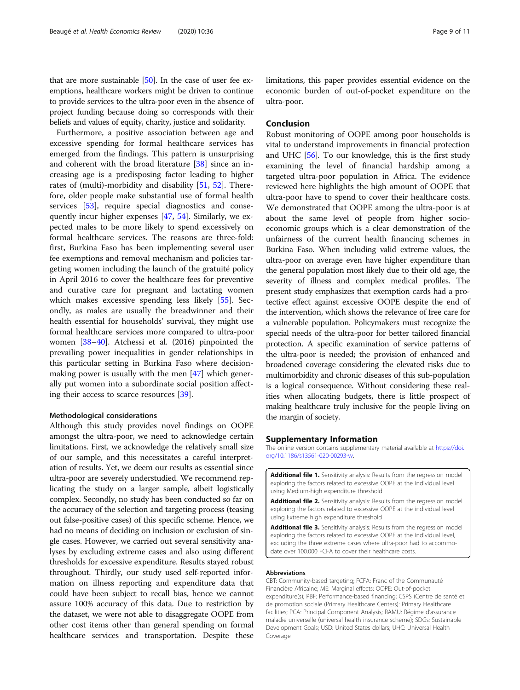<span id="page-8-0"></span>that are more sustainable [[50](#page-10-0)]. In the case of user fee exemptions, healthcare workers might be driven to continue to provide services to the ultra-poor even in the absence of project funding because doing so corresponds with their beliefs and values of equity, charity, justice and solidarity.

Furthermore, a positive association between age and excessive spending for formal healthcare services has emerged from the findings. This pattern is unsurprising and coherent with the broad literature [[38](#page-10-0)] since an increasing age is a predisposing factor leading to higher rates of (multi)-morbidity and disability [\[51](#page-10-0), [52\]](#page-10-0). Therefore, older people make substantial use of formal health services [\[53\]](#page-10-0), require special diagnostics and consequently incur higher expenses [[47](#page-10-0), [54\]](#page-10-0). Similarly, we expected males to be more likely to spend excessively on formal healthcare services. The reasons are three-fold: first, Burkina Faso has been implementing several user fee exemptions and removal mechanism and policies targeting women including the launch of the gratuité policy in April 2016 to cover the healthcare fees for preventive and curative care for pregnant and lactating women which makes excessive spending less likely [[55](#page-10-0)]. Secondly, as males are usually the breadwinner and their health essential for households' survival, they might use formal healthcare services more compared to ultra-poor women [[38](#page-10-0)–[40](#page-10-0)]. Atchessi et al. (2016) pinpointed the prevailing power inequalities in gender relationships in this particular setting in Burkina Faso where decisionmaking power is usually with the men [[47](#page-10-0)] which generally put women into a subordinate social position affecting their access to scarce resources [\[39](#page-10-0)].

#### Methodological considerations

Although this study provides novel findings on OOPE amongst the ultra-poor, we need to acknowledge certain limitations. First, we acknowledge the relatively small size of our sample, and this necessitates a careful interpretation of results. Yet, we deem our results as essential since ultra-poor are severely understudied. We recommend replicating the study on a larger sample, albeit logistically complex. Secondly, no study has been conducted so far on the accuracy of the selection and targeting process (teasing out false-positive cases) of this specific scheme. Hence, we had no means of deciding on inclusion or exclusion of single cases. However, we carried out several sensitivity analyses by excluding extreme cases and also using different thresholds for excessive expenditure. Results stayed robust throughout. Thirdly, our study used self-reported information on illness reporting and expenditure data that could have been subject to recall bias, hence we cannot assure 100% accuracy of this data. Due to restriction by the dataset, we were not able to disaggregate OOPE from other cost items other than general spending on formal healthcare services and transportation. Despite these

limitations, this paper provides essential evidence on the economic burden of out-of-pocket expenditure on the ultra-poor.

#### Conclusion

Robust monitoring of OOPE among poor households is vital to understand improvements in financial protection and UHC [\[56](#page-10-0)]. To our knowledge, this is the first study examining the level of financial hardship among a targeted ultra-poor population in Africa. The evidence reviewed here highlights the high amount of OOPE that ultra-poor have to spend to cover their healthcare costs. We demonstrated that OOPE among the ultra-poor is at about the same level of people from higher socioeconomic groups which is a clear demonstration of the unfairness of the current health financing schemes in Burkina Faso. When including valid extreme values, the ultra-poor on average even have higher expenditure than the general population most likely due to their old age, the severity of illness and complex medical profiles. The present study emphasizes that exemption cards had a protective effect against excessive OOPE despite the end of the intervention, which shows the relevance of free care for a vulnerable population. Policymakers must recognize the special needs of the ultra-poor for better tailored financial protection. A specific examination of service patterns of the ultra-poor is needed; the provision of enhanced and broadened coverage considering the elevated risks due to multimorbidity and chronic diseases of this sub-population is a logical consequence. Without considering these realities when allocating budgets, there is little prospect of making healthcare truly inclusive for the people living on the margin of society.

#### Supplementary Information

The online version contains supplementary material available at [https://doi.](https://doi.org/10.1186/s13561-020-00293-w) [org/10.1186/s13561-020-00293-w](https://doi.org/10.1186/s13561-020-00293-w).

Additional file 1. Sensitivity analysis: Results from the regression model exploring the factors related to excessive OOPE at the individual level using Medium-high expenditure threshold

Additional file 2. Sensitivity analysis: Results from the regression model exploring the factors related to excessive OOPE at the individual level using Extreme high expenditure threshold

Additional file 3. Sensitivity analysis: Results from the regression model exploring the factors related to excessive OOPE at the individual level, excluding the three extreme cases where ultra-poor had to accommodate over 100.000 FCFA to cover their healthcare costs.

#### Abbreviations

CBT: Community-based targeting; FCFA: Franc of the Communauté Financière Africaine; ME: Marginal effects; OOPE: Out-of-pocket expenditure(s); PBF: Performance-based financing; CSPS (Centre de santé et de promotion sociale (Primary Healthcare Centers): Primary Healthcare facilities; PCA: Principal Component Analysis; RAMU: Régime d'assurance maladie universelle (universal health insurance scheme); SDGs: Sustainable Development Goals; USD: United States dollars; UHC: Universal Health Coverage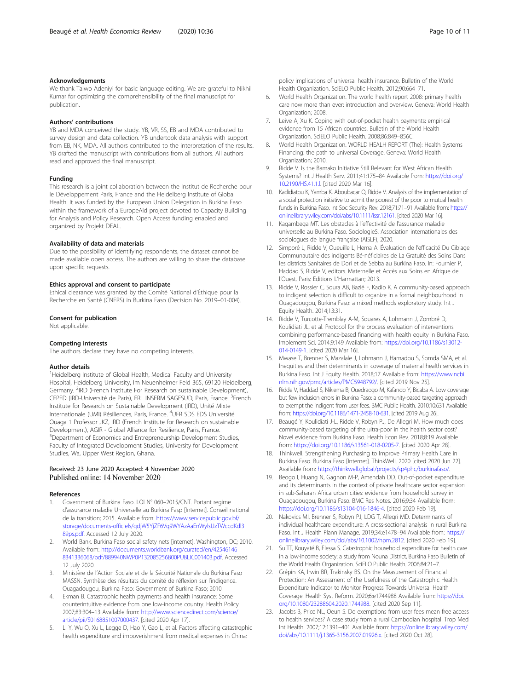#### <span id="page-9-0"></span>Acknowledgements

We thank Taiwo Adeniyi for basic language editing. We are grateful to Nikhil Kumar for optimizing the comprehensibility of the final manuscript for publication.

#### Authors' contributions

YB and MDA conceived the study. YB, VR, SS, EB and MDA contributed to survey design and data collection. YB undertook data analysis with support from EB, NK, MDA. All authors contributed to the interpretation of the results. YB drafted the manuscript with contributions from all authors. All authors read and approved the final manuscript.

#### Funding

This research is a joint collaboration between the Institut de Recherche pour le Développement Paris, France and the Heidelberg Institute of Global Health. It was funded by the European Union Delegation in Burkina Faso within the framework of a EuropeAid project devoted to Capacity Building for Analysis and Policy Research. Open Access funding enabled and organized by Projekt DEAL.

#### Availability of data and materials

Due to the possibility of identifying respondents, the dataset cannot be made available open access. The authors are willing to share the database upon specific requests.

#### Ethics approval and consent to participate

Ethical clearance was granted by the Comité National d'Éthique pour la Recherche en Santé (CNERS) in Burkina Faso (Decision No. 2019–01-004).

#### Consent for publication

Not applicable.

#### Competing interests

The authors declare they have no competing interests.

#### Author details

<sup>1</sup>Heidelberg Institute of Global Health, Medical Faculty and University Hospital, Heidelberg University, Im Neuenheimer Feld 365, 69120 Heidelberg, Germany. <sup>2</sup>IRD (French Institute For Research on sustainable Development), CEPED (IRD-Université de Paris), ERL INSERM SAGESUD, Paris, France. <sup>3</sup>French Institute for Research on Sustainable Development (IRD), Unité Mixte Internationale (UMI) Résiliences, Paris, France. <sup>4</sup>UFR SDS EDS Université Ouaga 1 Professor JKZ, IRD (French Institute for Research on sustainable Development), AGIR - Global Alliance for Resilience, Paris, France. 5 Department of Economics and Entrepreneurship Development Studies, Faculty of Integrated Development Studies, University for Development Studies, Wa, Upper West Region, Ghana.

#### Received: 23 June 2020 Accepted: 4 November 2020 Published online: 14 November 2020

#### References

- 1. Government of Burkina Faso. LOI N° 060–2015/CNT. Portant regime d'assurance maladie Universelle au Burkina Fasp [Internet]. Conseil national de la transition; 2015. Available from: [https://www.servicepublic.gov.bf/](https://www.servicepublic.gov.bf/storage/documents-officiels/qdjW5YjZF6Vq9WYAzAaEnWylsUzTWccdKdl389ps.pdf) [storage/documents-officiels/qdjW5YjZF6Vq9WYAzAaEnWylsUzTWccdKdl3](https://www.servicepublic.gov.bf/storage/documents-officiels/qdjW5YjZF6Vq9WYAzAaEnWylsUzTWccdKdl389ps.pdf) [89ps.pdf.](https://www.servicepublic.gov.bf/storage/documents-officiels/qdjW5YjZF6Vq9WYAzAaEnWylsUzTWccdKdl389ps.pdf) Accessed 12 July 2020.
- 2. World Bank. Burkina Faso social safety nets [internet]. Washington, DC; 2010. Available from: [http://documents.worldbank.org/curated/en/42546146](http://documents.worldbank.org/curated/en/425461468341336068/pdf/889940NWP0P132085256B00PUBLIC001403.pdf) [8341336068/pdf/889940NWP0P132085256B00PUBLIC001403.pdf](http://documents.worldbank.org/curated/en/425461468341336068/pdf/889940NWP0P132085256B00PUBLIC001403.pdf). Accessed 12 July 2020.
- 3. Ministère de l'Action Sociale et de la Sécurité Nationale du Burkina Faso MASSN. Synthèse des résultats du comité de réflexion sur l'indigence. Ouagadougou, Burkina Faso: Government of Burkina Faso; 2010.
- 4. Ekman B. Catastrophic health payments and health insurance: Some counterintuitive evidence from one low-income country. Health Policy. 2007;83:304–13 Available from: [http://www.sciencedirect.com/science/](http://www.sciencedirect.com/science/article/pii/S0168851007000437) [article/pii/S0168851007000437](http://www.sciencedirect.com/science/article/pii/S0168851007000437). [cited 2020 Apr 17].
- Li Y, Wu Q, Xu L, Legge D, Hao Y, Gao L, et al. Factors affecting catastrophic health expenditure and impoverishment from medical expenses in China:
- 6. World Health Organization. The world health report 2008: primary health care now more than ever: introduction and overview. Geneva: World Health Organization; 2008.
- 7. Leive A, Xu K. Coping with out-of-pocket health payments: empirical evidence from 15 African countries. Bulletin of the World Health Organization. SciELO Public Health. 2008;86:849–856C.
- 8. World Health Organization. WORLD HEALH REPORT (The): Health Systems Financing: the path to universal Coverage. Geneva: World Health Organization: 2010.
- 9. Ridde V. Is the Bamako Initiative Still Relevant for West African Health Systems? Int J Health Serv. 2011;41:175–84 Available from: [https://doi.org/](https://doi.org/10.2190/HS.41.1.l) [10.2190/HS.41.1.l.](https://doi.org/10.2190/HS.41.1.l) [cited 2020 Mar 16].
- 10. Kadidiatou K, Yamba K, Aboubacar O, Ridde V. Analysis of the implementation of a social protection initiative to admit the poorest of the poor to mutual health funds in Burkina Faso. Int Soc Security Rev. 2018;71:71–91 Available from: [https://](https://onlinelibrary.wiley.com/doi/abs/10.1111/issr.12161) [onlinelibrary.wiley.com/doi/abs/10.1111/issr.12161](https://onlinelibrary.wiley.com/doi/abs/10.1111/issr.12161). [cited 2020 Mar 16].
- 11. Kagambega MT. Les obstacles à l'effectivité de l'assurance maladie universelle au Burkina Faso. SociologieS. Association internationales des sociologues de langue française (AISLF); 2020.
- 12. Simporé L, Ridde V, Queuille L, Hema A. Évaluation de l'efficacité Du Ciblage Communautaire des indigents Bé-néficiaires de La Gratuité des Soins Dans les districts Sanitaires de Dori et de Sebba au Burkina Faso. In: Fournier P, Haddad S, Ridde V, editors. Maternelle et Accès aux Soins en Afrique de l'Ouest. Paris: Editions L'Harmattan; 2013.
- 13. Ridde V, Rossier C, Soura AB, Bazié F, Kadio K. A community-based approach to indigent selection is difficult to organize in a formal neighbourhood in Ouagadougou, Burkina Faso: a mixed methods exploratory study. Int J Equity Health. 2014;13:31.
- 14. Ridde V, Turcotte-Tremblay A-M, Souares A, Lohmann J, Zombré D, Koulidiati JL, et al. Protocol for the process evaluation of interventions combining performance-based financing with health equity in Burkina Faso. Implement Sci. 2014;9:149 Available from: [https://doi.org/10.1186/s13012-](https://doi.org/10.1186/s13012-014-0149-1) [014-0149-1](https://doi.org/10.1186/s13012-014-0149-1). [cited 2020 Mar 16].
- 15. Mwase T, Brenner S, Mazalale J, Lohmann J, Hamadou S, Somda SMA, et al. Inequities and their determinants in coverage of maternal health services in Burkina Faso. Int J Equity Health. 2018;17 Available from: [https://www.ncbi.](https://www.ncbi.nlm.nih.gov/pmc/articles/PMC5948792/) [nlm.nih.gov/pmc/articles/PMC5948792/](https://www.ncbi.nlm.nih.gov/pmc/articles/PMC5948792/). [cited 2019 Nov 25].
- 16. Ridde V, Haddad S, Nikiema B, Ouedraogo M, Kafando Y, Bicaba A. Low coverage but few inclusion errors in Burkina Faso: a community-based targeting approach to exempt the indigent from user fees. BMC Public Health. 2010;10:631 Available from: [https://doi.org/10.1186/1471-2458-10-631.](https://doi.org/10.1186/1471-2458-10-631) [cited 2019 Aug 26].
- 17. Beaugé Y, Koulidiati J-L, Ridde V, Robyn PJ, De Allegri M. How much does community-based targeting of the ultra-poor in the health sector cost? Novel evidence from Burkina Faso. Health Econ Rev. 2018;8:19 Available from: [https://doi.org/10.1186/s13561-018-0205-7.](https://doi.org/10.1186/s13561-018-0205-7) [cited 2020 Apr 28].
- 18. Thinkwell. Strengthening Purchasing to Improve Primary Health Care in Burkina Faso. Burkina Faso [Internet]. ThinkWell. 2020 [cited 2020 Jun 22]. Available from: [https://thinkwell.global/projects/sp4phc/burkinafaso/.](https://thinkwell.global/projects/sp4phc/burkinafaso/)
- 19. Beogo I, Huang N, Gagnon M-P, Amendah DD. Out-of-pocket expenditure and its determinants in the context of private healthcare sector expansion in sub-Saharan Africa urban cities: evidence from household survey in Ouagadougou, Burkina Faso. BMC Res Notes. 2016;9:34 Available from: <https://doi.org/10.1186/s13104-016-1846-4>. [cited 2020 Feb 19].
- 20. Nakovics MI, Brenner S, Robyn PJ, LDG T, Allegri MD. Determinants of individual healthcare expenditure: A cross-sectional analysis in rural Burkina Faso. Int J Health Plann Manage. 2019;34:e1478–94 Available from: [https://](https://onlinelibrary.wiley.com/doi/abs/10.1002/hpm.2812) [onlinelibrary.wiley.com/doi/abs/10.1002/hpm.2812.](https://onlinelibrary.wiley.com/doi/abs/10.1002/hpm.2812) [cited 2020 Feb 19].
- 21. Su TT, Kouyaté B, Flessa S. Catastrophic household expenditure for health care in a low-income society: a study from Nouna District, Burkina Faso Bulletin of the World Health Organization. SciELO Public Health. 2006;84:21–7.
- 22. Grépin KA, Irwin BR, Trakinsky BS. On the Measurement of Financial Protection: An Assessment of the Usefulness of the Catastrophic Health Expenditure Indicator to Monitor Progress Towards Universal Health Coverage. Health Syst Reform. 2020;6:e1744988 Available from: [https://doi.](https://doi.org/10.1080/23288604.2020.1744988) [org/10.1080/23288604.2020.1744988](https://doi.org/10.1080/23288604.2020.1744988). [cited 2020 Sep 11].
- 23. Jacobs B, Price NL, Oeun S. Do exemptions from user fees mean free access to health services? A case study from a rural Cambodian hospital. Trop Med Int Health. 2007;12:1391–401 Available from: [https://onlinelibrary.wiley.com/](https://onlinelibrary.wiley.com/doi/abs/10.1111/j.1365-3156.2007.01926.x) [doi/abs/10.1111/j.1365-3156.2007.01926.x.](https://onlinelibrary.wiley.com/doi/abs/10.1111/j.1365-3156.2007.01926.x) [cited 2020 Oct 28].